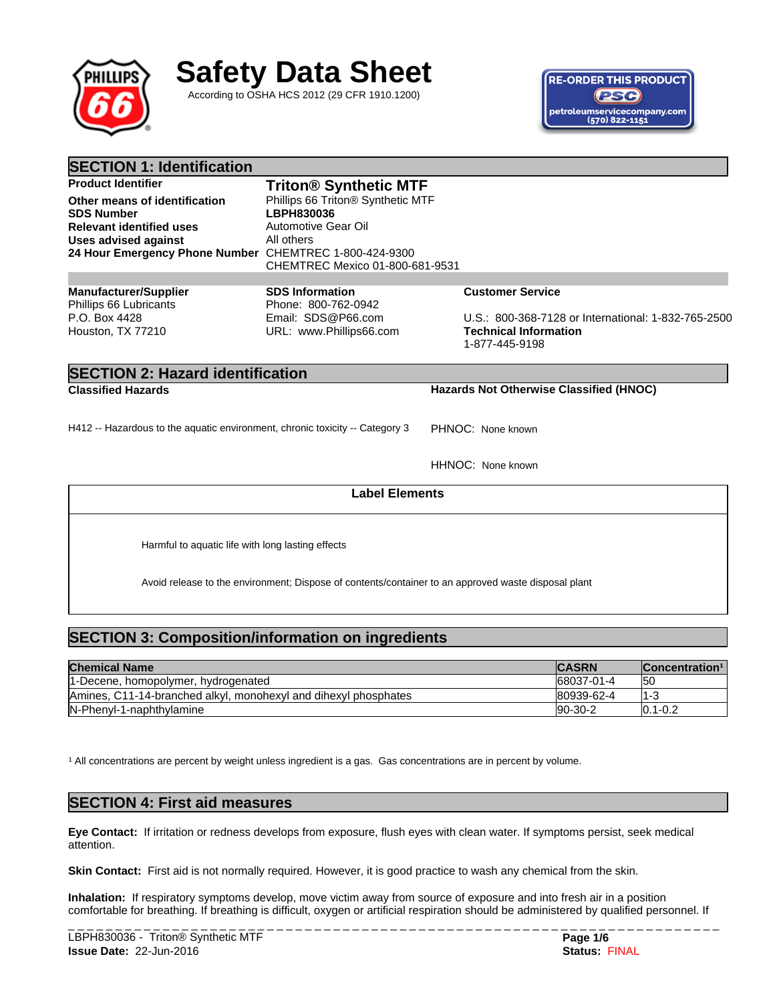

# **Safety Data Sheet**

According to OSHA HCS 2012 (29 CFR 1910.1200)



| <b>SECTION 1: Identification</b>                                             |                                               |                                                     |
|------------------------------------------------------------------------------|-----------------------------------------------|-----------------------------------------------------|
| <b>Product Identifier</b>                                                    | <b>Triton® Synthetic MTF</b>                  |                                                     |
| Other means of identification                                                | Phillips 66 Triton® Synthetic MTF             |                                                     |
| <b>SDS Number</b>                                                            | LBPH830036                                    |                                                     |
| <b>Relevant identified uses</b>                                              | Automotive Gear Oil                           |                                                     |
| <b>Uses advised against</b>                                                  | All others                                    |                                                     |
| 24 Hour Emergency Phone Number CHEMTREC 1-800-424-9300                       | CHEMTREC Mexico 01-800-681-9531               |                                                     |
|                                                                              |                                               |                                                     |
| <b>Manufacturer/Supplier</b><br>Phillips 66 Lubricants                       | <b>SDS Information</b><br>Phone: 800-762-0942 | <b>Customer Service</b>                             |
| P.O. Box 4428                                                                | Email: SDS@P66.com                            | U.S.: 800-368-7128 or International: 1-832-765-2500 |
| Houston, TX 77210                                                            | URL: www.Phillips66.com                       | <b>Technical Information</b><br>1-877-445-9198      |
| <b>SECTION 2: Hazard identification</b>                                      |                                               |                                                     |
| <b>Classified Hazards</b>                                                    |                                               | Hazards Not Otherwise Classified (HNOC)             |
| H412 -- Hazardous to the aquatic environment, chronic toxicity -- Category 3 |                                               | PHNOC: None known                                   |
|                                                                              |                                               |                                                     |
|                                                                              |                                               | HHNOC: None known                                   |

**Label Elements**

Harmful to aquatic life with long lasting effects

Avoid release to the environment; Dispose of contents/container to an approved waste disposal plant

# **SECTION 3: Composition/information on ingredients**

| <b>Chemical Name</b>                                            | <b>CASRN</b> | Concentration <sup>1</sup> |
|-----------------------------------------------------------------|--------------|----------------------------|
| 1-Decene, homopolymer, hydrogenated                             | 68037-01-4   | 150                        |
| Amines, C11-14-branched alkyl, monohexyl and dihexyl phosphates | 80939-62-4   | 11-3                       |
| IN-Phenyl-1-naphthylamine                                       | $ 90-30-2 $  | $10.1 - 0.2$               |

<sup>1</sup> All concentrations are percent by weight unless ingredient is a gas. Gas concentrations are in percent by volume.

## **SECTION 4: First aid measures**

**Eye Contact:** If irritation or redness develops from exposure, flush eyes with clean water. If symptoms persist, seek medical attention.

Skin Contact: First aid is not normally required. However, it is good practice to wash any chemical from the skin.

**Inhalation:** If respiratory symptoms develop, move victim away from source of exposure and into fresh air in a position comfortable for breathing. If breathing is difficult, oxygen or artificial respiration should be administered by qualified personnel. If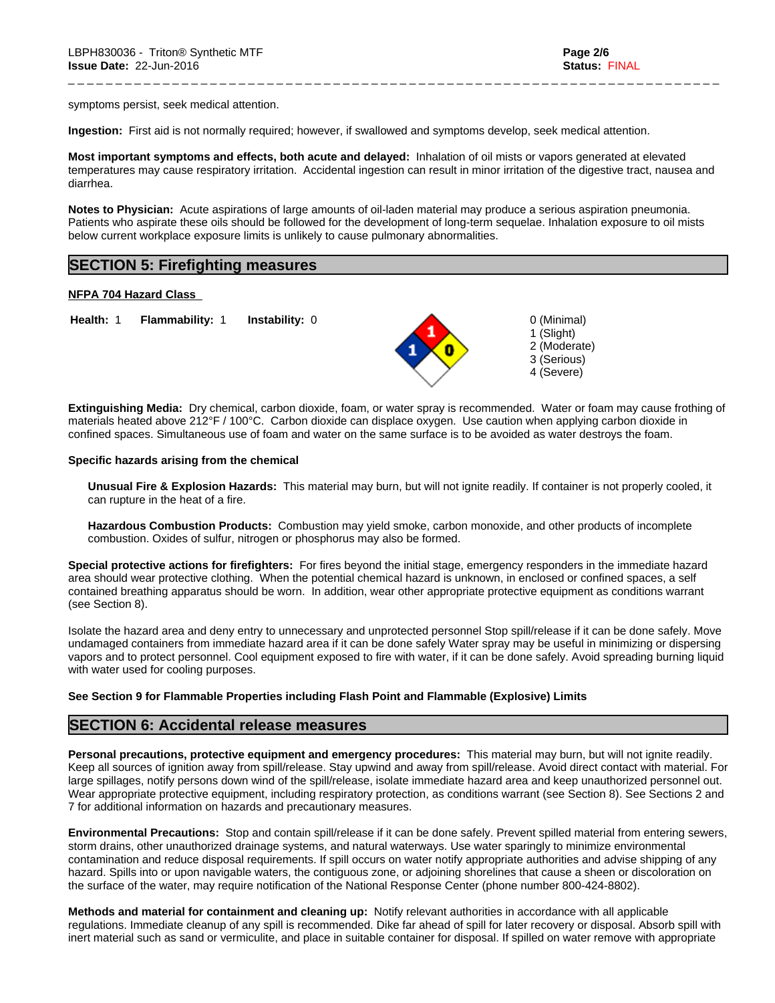symptoms persist, seek medical attention.

**Ingestion:** First aid is not normally required; however, if swallowed and symptoms develop, seek medical attention.

**Most important symptoms and effects, both acute and delayed:** Inhalation of oil mists or vapors generated at elevated temperatures may cause respiratory irritation. Accidental ingestion can result in minor irritation of the digestive tract, nausea and diarrhea.

**Notes to Physician:**Acute aspirations of large amounts of oil-laden material may produce a serious aspiration pneumonia. Patients who aspirate these oils should be followed for the development of long-term sequelae. Inhalation exposure to oil mists below current workplace exposure limits is unlikely to cause pulmonary abnormalities.

## **SECTION 5: Firefighting measures**

#### **NFPA 704 Hazard Class**

**Health:** 1 **Flammability:** 1 **Instability:** 0 0 (Minimal)



\_ \_ \_ \_ \_ \_ \_ \_ \_ \_ \_ \_ \_ \_ \_ \_ \_ \_ \_ \_ \_ \_ \_ \_ \_ \_ \_ \_ \_ \_ \_ \_ \_ \_ \_ \_ \_ \_ \_ \_ \_ \_ \_ \_ \_ \_ \_ \_ \_ \_ \_ \_ \_ \_ \_ \_ \_ \_ \_ \_ \_ \_ \_ \_ \_ \_ \_ \_ \_

1 (Slight) 2 (Moderate) 3 (Serious) 4 (Severe)

**Extinguishing Media:** Dry chemical, carbon dioxide, foam, or water spray is recommended. Water or foam may cause frothing of materials heated above 212°F / 100°C. Carbon dioxide can displace oxygen. Use caution when applying carbon dioxide in confined spaces. Simultaneous use of foam and water on the same surface is to be avoided as water destroys the foam.

#### **Specific hazards arising from the chemical**

**Unusual Fire & Explosion Hazards:** This material may burn, butwill not ignite readily. If container is not properly cooled, it can rupture in the heat of a fire.

**Hazardous Combustion Products:** Combustion may yield smoke, carbon monoxide, and other products of incomplete combustion. Oxides of sulfur, nitrogen or phosphorus may also be formed.

**Special protective actions for firefighters:** For fires beyond the initial stage, emergency responders in the immediate hazard area should wear protective clothing. When the potential chemical hazard is unknown, in enclosed or confined spaces, a self contained breathing apparatus should be worn. In addition, wear other appropriate protective equipment as conditions warrant (see Section 8).

Isolate the hazard area and deny entry to unnecessary and unprotected personnel Stop spill/release if it can be done safely. Move undamaged containers from immediate hazard area if it can be done safely Water spray may be useful in minimizing or dispersing vapors and to protect personnel. Cool equipment exposed to fire with water, if it can be done safely. Avoid spreading burning liquid with water used for cooling purposes.

## **See Section 9 for Flammable Properties including Flash Point and Flammable (Explosive) Limits**

## **SECTION 6: Accidental release measures**

**Personal precautions, protective equipment and emergency procedures:** This material may burn, butwill not ignite readily. Keep all sources of ignition away from spill/release. Stay upwind and away from spill/release. Avoid direct contact with material. For large spillages, notify persons down wind of the spill/release, isolate immediate hazard area and keep unauthorized personnel out. Wear appropriate protective equipment, including respiratory protection, as conditions warrant (see Section 8). See Sections 2 and 7 for additional information on hazards and precautionary measures.

**Environmental Precautions:** Stop and contain spill/release if it can be done safely. Prevent spilled material from entering sewers, storm drains, other unauthorized drainage systems, and natural waterways. Use water sparingly to minimize environmental contamination and reduce disposal requirements. If spill occurs on water notify appropriate authorities and advise shipping of any hazard. Spills into or upon navigable waters, the contiguous zone, or adjoining shorelines that cause a sheen or discoloration on the surface of the water, may require notification of the National Response Center (phone number 800-424-8802).

**Methods and material for containment and cleaning up:** Notify relevant authorities in accordance with all applicable regulations. Immediate cleanup of any spill is recommended. Dike far ahead of spill for later recovery or disposal. Absorb spill with inert material such as sand or vermiculite, and place in suitable container for disposal. If spilled on water remove with appropriate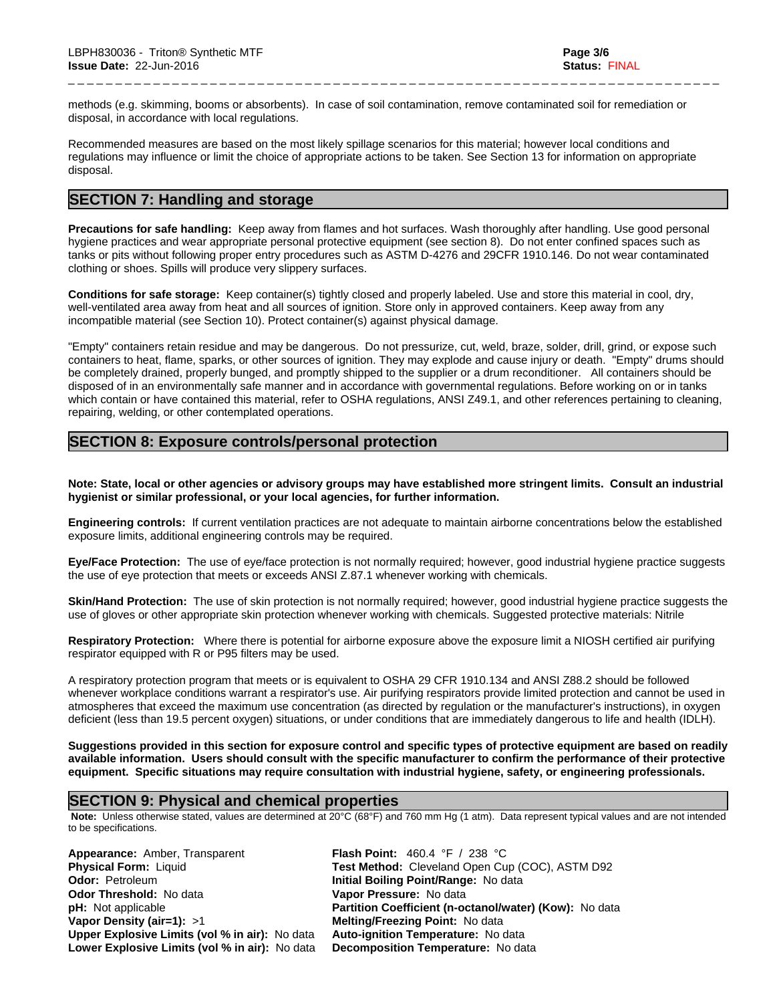methods (e.g. skimming, booms or absorbents). In case of soil contamination, remove contaminated soil for remediation or disposal, in accordance with local regulations.

\_ \_ \_ \_ \_ \_ \_ \_ \_ \_ \_ \_ \_ \_ \_ \_ \_ \_ \_ \_ \_ \_ \_ \_ \_ \_ \_ \_ \_ \_ \_ \_ \_ \_ \_ \_ \_ \_ \_ \_ \_ \_ \_ \_ \_ \_ \_ \_ \_ \_ \_ \_ \_ \_ \_ \_ \_ \_ \_ \_ \_ \_ \_ \_ \_ \_ \_ \_ \_

Recommended measures are based on the most likely spillage scenarios for this material; however local conditions and regulations may influence or limit the choice of appropriate actions to be taken. See Section 13 for information on appropriate disposal.

## **SECTION 7: Handling and storage**

**Precautions for safe handling:** Keep away from flames and hot surfaces. Wash thoroughly after handling. Use good personal hygiene practices and wear appropriate personal protective equipment (see section 8). Do not enter confined spaces such as tanks or pits without following proper entry procedures such as ASTM D-4276 and 29CFR 1910.146. Do not wear contaminated clothing or shoes. Spills will produce very slippery surfaces.

**Conditions for safe storage:**Keep container(s) tightly closed and properly labeled. Use and store this material in cool, dry, well-ventilated area away from heat and all sources of ignition. Store only in approved containers. Keep away from any incompatible material (see Section 10). Protect container(s) against physical damage.

"Empty" containers retain residue and may be dangerous. Do not pressurize, cut, weld, braze, solder, drill, grind, or expose such containers to heat, flame, sparks, or other sources of ignition. They may explode and cause injury or death."Empty" drums should be completely drained, properly bunged, and promptly shipped to the supplier or a drum reconditioner. All containers should be disposed of in an environmentally safe manner and in accordance with governmental regulations. Before working on or in tanks which contain or have contained this material, refer to OSHA regulations, ANSI Z49.1, and other references pertaining to cleaning, repairing, welding, or other contemplated operations.

## **SECTION 8: Exposure controls/personal protection**

Note: State, local or other agencies or advisory groups may have established more stringent limits. Consult an industrial **hygienist or similar professional, or your local agencies, for further information.**

**Engineering controls:** Ifcurrent ventilation practices are not adequate to maintain airborne concentrations below the established exposure limits, additional engineering controls may be required.

**Eye/Face Protection:** The use of eye/face protection is not normally required; however, good industrial hygiene practice suggests the use of eye protection that meets or exceeds ANSI Z.87.1 whenever working with chemicals.

**Skin/Hand Protection:** The use of skin protection is not normally required; however, good industrial hygiene practice suggests the use of gloves or other appropriate skin protection whenever working with chemicals. Suggested protective materials: Nitrile

**Respiratory Protection:** Where there is potential for airborne exposure above the exposure limit a NIOSH certified air purifying respirator equipped with R or P95 filters may be used.

A respiratory protection program that meets or is equivalent to OSHA 29 CFR 1910.134 and ANSI Z88.2 should be followed whenever workplace conditions warrant a respirator's use. Air purifying respirators provide limited protection and cannot be used in atmospheres that exceed the maximum use concentration (as directed by regulation or the manufacturer's instructions), in oxygen deficient (less than 19.5 percent oxygen) situations, or under conditions that are immediately dangerous to life and health (IDLH).

Suggestions provided in this section for exposure control and specific types of protective equipment are based on readily available information. Users should consult with the specific manufacturer to confirm the performance of their protective **equipment. Specific situations may require consultation with industrial hygiene, safety, or engineering professionals.**

## **SECTION 9: Physical and chemical properties**

 **Note:** Unless otherwise stated, values are determined at 20°C (68°F) and 760 mm Hg (1 atm). Data represent typical values and are not intended to be specifications.

**Appearance:** Amber, Transparent **Flash Point:** 460.4 °F / 238 °C **Odor:** Petroleum **Initial Boiling Point/Range:** No data **Odor Threshold:** No data **Vapor Pressure:** No data **Vapor Density (air=1):** >1 **Melting/Freezing Point:** No data **Upper Explosive Limits (vol % in air):** No data **Lower Explosive Limits (vol% in air):** No data **Decomposition Temperature:** No data

**Physical Form:** Liquid **Test Method:** Cleveland Open Cup (COC), ASTM D92 **pH:** Not applicable **Partition Coefficient (n-octanol/water) (Kow):** No data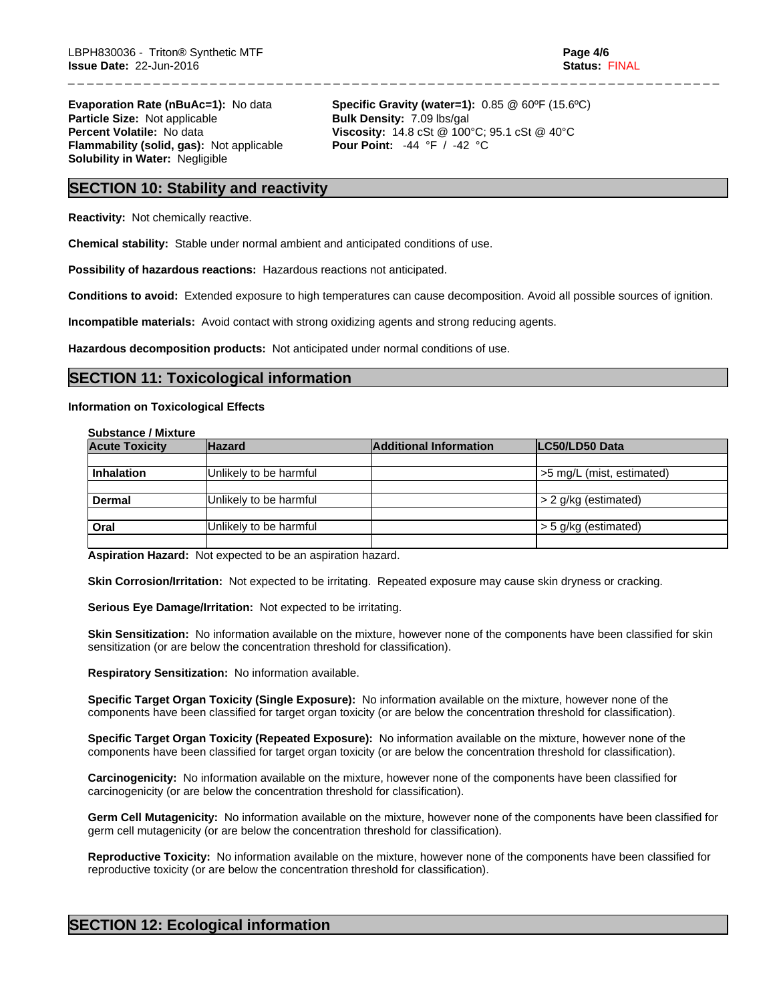**Particle Size:** Not applicable **Bulk Density:** 7.09 lbs/gal **Flammability (solid, gas):** Not applicable **Solubility in Water:** Negligible

**Evaporation Rate (nBuAc=1):** No data **Specific Gravity (water=1):** 0.85 @ 60°F (15.6°C) **Percent Volatile:** No data **Viscosity:** 14.8 cSt @ 100°C; 95.1 cSt @ 40°C<br>**Flammability (solid, gas):** Not applicable **Pour Point:** -44 °F / -42 °C

\_ \_ \_ \_ \_ \_ \_ \_ \_ \_ \_ \_ \_ \_ \_ \_ \_ \_ \_ \_ \_ \_ \_ \_ \_ \_ \_ \_ \_ \_ \_ \_ \_ \_ \_ \_ \_ \_ \_ \_ \_ \_ \_ \_ \_ \_ \_ \_ \_ \_ \_ \_ \_ \_ \_ \_ \_ \_ \_ \_ \_ \_ \_ \_ \_ \_ \_ \_ \_

## **SECTION 10: Stability and reactivity**

**Reactivity:** Not chemically reactive.

**Chemical stability:** Stable under normal ambient and anticipated conditions of use.

**Possibility of hazardous reactions:** Hazardous reactions not anticipated.

**Conditions to avoid:** Extended exposure to high temperatures can cause decomposition. Avoid all possible sources of ignition.

**Incompatible materials:** Avoid contact with strong oxidizing agents and strong reducing agents.

**Hazardous decomposition products:** Not anticipated under normal conditions of use.

## **SECTION 11: Toxicological information**

#### **Information on Toxicological Effects**

**Substance / Mixture**

| <b>Acute Toxicity</b> | <b>Hazard</b>          | <b>Additional Information</b> | LC50/LD50 Data            |
|-----------------------|------------------------|-------------------------------|---------------------------|
|                       |                        |                               |                           |
| <b>Inhalation</b>     | Unlikely to be harmful |                               | >5 mg/L (mist, estimated) |
|                       |                        |                               |                           |
| <b>Dermal</b>         | Unlikely to be harmful |                               | > 2 g/kg (estimated)      |
|                       |                        |                               |                           |
| Oral                  | Unlikely to be harmful |                               | > 5 g/kg (estimated)      |
|                       |                        |                               |                           |

**Aspiration Hazard:** Not expected to be an aspiration hazard.

**Skin Corrosion/Irritation:** Not expected to be irritating. Repeated exposure may cause skin dryness or cracking.

**Serious Eye Damage/Irritation:** Not expected to be irritating.

**Skin Sensitization:** No information available on the mixture, however none of the components have been classified for skin sensitization (or are below the concentration threshold for classification).

**Respiratory Sensitization:** No information available.

**Specific Target Organ Toxicity (Single Exposure):** No information available on the mixture, however none of the components have been classified for target organ toxicity (or are below the concentration threshold for classification).

**Specific Target Organ Toxicity (Repeated Exposure):** No information available on the mixture, however none of the components have been classified for target organ toxicity (or are below the concentration threshold for classification).

**Carcinogenicity:** No information available on the mixture, however none of the components have been classified for carcinogenicity (or are below the concentration threshold for classification).

**Germ Cell Mutagenicity:** No information available on the mixture, however none of the components have been classified for germ cell mutagenicity (or are below the concentration threshold for classification).

**Reproductive Toxicity:** No information available on the mixture, however none of the components have been classified for reproductive toxicity (or are below the concentration threshold for classification).

## **SECTION 12: Ecological information**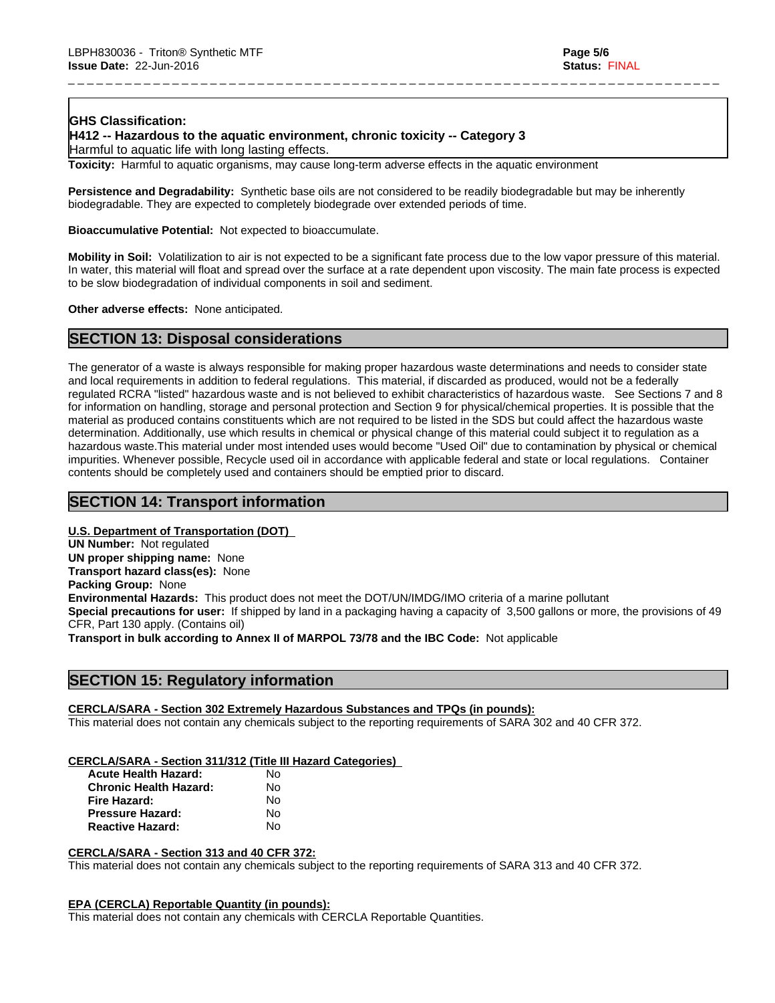## **GHS Classification:**

**H412 -- Hazardous to the aquatic environment, chronic toxicity -- Category 3**

Harmful to aquatic life with long lasting effects.

**Toxicity:** Harmful to aquatic organisms, may cause long-term adverse effects in the aquatic environment

**Persistence and Degradability:** Synthetic base oils are not considered to be readily biodegradable but may be inherently biodegradable. They are expected to completely biodegrade over extended periods of time.

**Bioaccumulative Potential:** Not expected to bioaccumulate.

**Mobility in Soil:** Volatilization to air is not expected to be a significant fate process due to the low vapor pressure of this material. In water, this material will float and spread over the surface at a rate dependent upon viscosity. The main fate process is expected to be slow biodegradation of individual components in soil and sediment.

\_ \_ \_ \_ \_ \_ \_ \_ \_ \_ \_ \_ \_ \_ \_ \_ \_ \_ \_ \_ \_ \_ \_ \_ \_ \_ \_ \_ \_ \_ \_ \_ \_ \_ \_ \_ \_ \_ \_ \_ \_ \_ \_ \_ \_ \_ \_ \_ \_ \_ \_ \_ \_ \_ \_ \_ \_ \_ \_ \_ \_ \_ \_ \_ \_ \_ \_ \_ \_

**Other adverse effects:** None anticipated.

## **SECTION 13: Disposal considerations**

The generator of a waste is always responsible for making proper hazardous waste determinations and needs to consider state and local requirements in addition to federal regulations. This material, if discarded as produced, would not be a federally regulated RCRA "listed" hazardous waste and is not believed to exhibit characteristics of hazardous waste. See Sections 7 and 8 for information on handling, storage and personal protection and Section 9 for physical/chemical properties. It is possible that the material as produced contains constituents which are not required to be listed in the SDS but could affect the hazardous waste determination. Additionally, use which results in chemical or physical change of this material could subject it to regulation as a hazardous waste.This material under most intended uses would become "Used Oil" due to contamination by physical or chemical impurities. Whenever possible, Recycle used oil in accordance with applicable federal and state or local regulations. Container contents should be completely used and containers should be emptied prior to discard.

## **SECTION 14: Transport information**

## **U.S. Department of Transportation (DOT)**

**UN Number:** Not regulated **UN proper shipping name:** None **Transport hazard class(es):** None **Packing Group:** None **Environmental Hazards:** This product does not meet the DOT/UN/IMDG/IMO criteria of a marine pollutant **Special precautions for user:** If shipped by land in a packaging having a capacity of 3,500 gallons or more, the provisions of 49 CFR, Part 130 apply. (Contains oil) **Transport in bulk according to Annex II of MARPOL 73/78 and the IBC Code:** Not applicable

## **SECTION 15: Regulatory information**

## **CERCLA/SARA - Section 302 Extremely Hazardous Substances and TPQs (in pounds):**

This material does not contain any chemicals subject to the reporting requirements of SARA 302 and 40 CFR 372.

#### **CERCLA/SARA - Section 311/312 (Title III Hazard Categories)**

| <b>Acute Health Hazard:</b>   | N٥ |  |
|-------------------------------|----|--|
| <b>Chronic Health Hazard:</b> | N٥ |  |
| Fire Hazard:                  | No |  |
| <b>Pressure Hazard:</b>       | N٥ |  |
| <b>Reactive Hazard:</b>       | N٥ |  |

#### **CERCLA/SARA - Section 313 and 40 CFR 372:**

This material does not contain any chemicals subject to the reporting requirements of SARA 313 and 40 CFR 372.

#### **EPA (CERCLA) Reportable Quantity (in pounds):**

This material does not contain any chemicals with CERCLA Reportable Quantities.